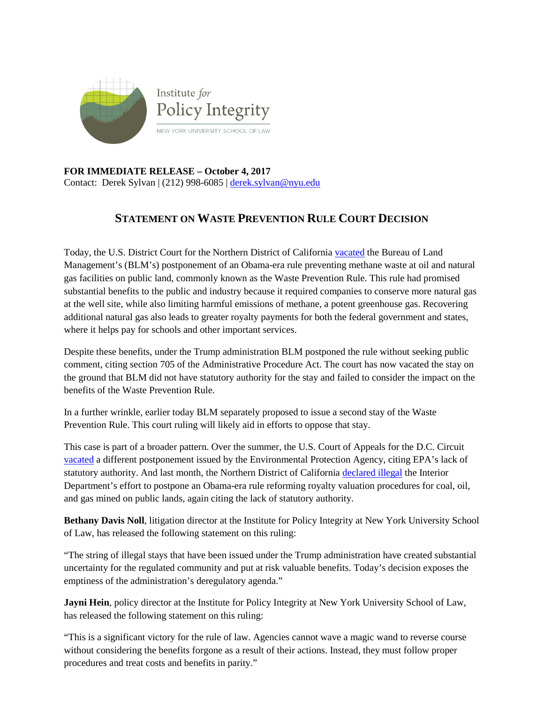

**FOR IMMEDIATE RELEASE – October 4, 2017** Contact: Derek Sylvan | (212) 998-6085 | [derek.sylvan@nyu.edu](mailto:derek.sylvan@nyu.edu)

## **STATEMENT ON WASTE PREVENTION RULE COURT DECISION**

Today, the U.S. District Court for the Northern District of California [vacated](https://www.eenews.net/assets/2017/10/05/document_ew_01.pdf) the Bureau of Land Management's (BLM's) postponement of an Obama-era rule preventing methane waste at oil and natural gas facilities on public land, commonly known as the Waste Prevention Rule. This rule had promised substantial benefits to the public and industry because it required companies to conserve more natural gas at the well site, while also limiting harmful emissions of methane, a potent greenhouse gas. Recovering additional natural gas also leads to greater royalty payments for both the federal government and states, where it helps pay for schools and other important services.

Despite these benefits, under the Trump administration BLM postponed the rule without seeking public comment, citing section 705 of the Administrative Procedure Act. The court has now vacated the stay on the ground that BLM did not have statutory authority for the stay and failed to consider the impact on the benefits of the Waste Prevention Rule.

In a further wrinkle, earlier today BLM separately proposed to issue a second stay of the Waste Prevention Rule. This court ruling will likely aid in efforts to oppose that stay.

This case is part of a broader pattern. Over the summer, the U.S. Court of Appeals for the D.C. Circuit [vacated](https://www.cadc.uscourts.gov/internet/opinions.nsf/a86b20d79beb893e85258152005ca1b2/$file/17-1145-1682465.pdf) a different postponement issued by the Environmental Protection Agency, citing EPA's lack of statutory authority. And last month, the Northern District of California [declared illegal](http://policyintegrity.org/documents/Doc_47_Order_Granting_Summary_Judgment.pdf) the Interior Department's effort to postpone an Obama-era rule reforming royalty valuation procedures for coal, oil, and gas mined on public lands, again citing the lack of statutory authority.

**Bethany Davis Noll**, litigation director at the Institute for Policy Integrity at New York University School of Law, has released the following statement on this ruling:

"The string of illegal stays that have been issued under the Trump administration have created substantial uncertainty for the regulated community and put at risk valuable benefits. Today's decision exposes the emptiness of the administration's deregulatory agenda."

**Jayni Hein**, policy director at the Institute for Policy Integrity at New York University School of Law, has released the following statement on this ruling:

"This is a significant victory for the rule of law. Agencies cannot wave a magic wand to reverse course without considering the benefits forgone as a result of their actions. Instead, they must follow proper procedures and treat costs and benefits in parity."